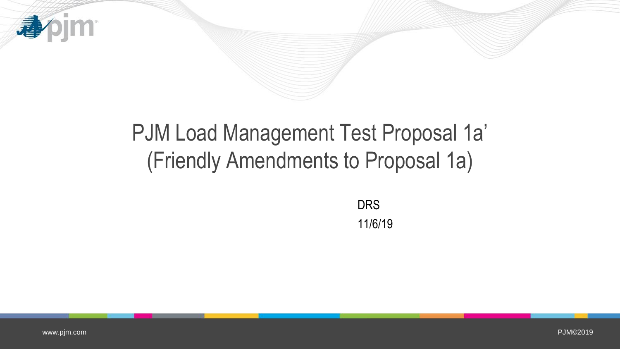

## PJM Load Management Test Proposal 1a' (Friendly Amendments to Proposal 1a)

DRS 11/6/19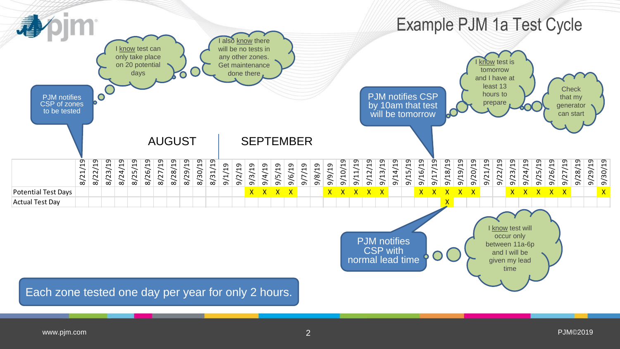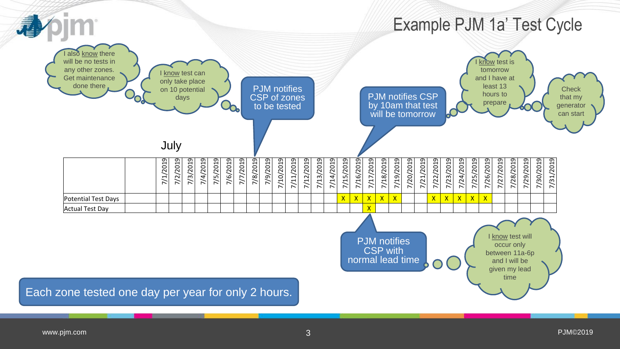